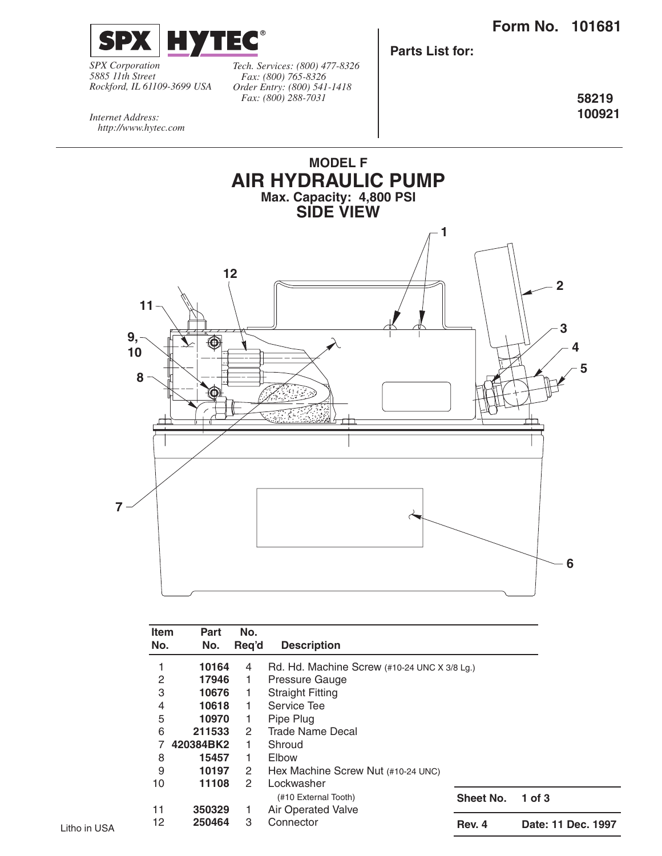

*SPX Corporation 5885 11th Street Rockford, IL 61109-3699 USA*

*Tech. Services: (800) 477-8326 Fax: (800) 765-8326 Order Entry: (800) 541-1418 Fax: (800) 288-7031*

**Parts List for:**

**58219 100921**

*Internet Address: http://www.hytec.com*



| Part<br>No. | No.<br>Reg'd          | <b>Description</b>                   |                  |                                                                      |
|-------------|-----------------------|--------------------------------------|------------------|----------------------------------------------------------------------|
| 10164       | 4                     |                                      |                  |                                                                      |
|             | 1                     | Pressure Gauge                       |                  |                                                                      |
|             | 1                     | <b>Straight Fitting</b>              |                  |                                                                      |
| 10618       | 1                     | Service Tee                          |                  |                                                                      |
|             | 1                     | Pipe Plug                            |                  |                                                                      |
| 211533      | 2                     | Trade Name Decal                     |                  |                                                                      |
|             | 1                     | Shroud                               |                  |                                                                      |
| 15457       | 1                     | Elbow                                |                  |                                                                      |
| 10197       | 2                     | Hex Machine Screw Nut (#10-24 UNC)   |                  |                                                                      |
| 11108       | $\mathbf{2}^{\prime}$ | Lockwasher                           |                  |                                                                      |
|             |                       | (#10 External Tooth)                 | <b>Sheet No.</b> | 1 of $3$                                                             |
| 350329      | 1                     | Air Operated Valve                   |                  |                                                                      |
| 250464      | 3                     | Connector                            | Rev. 4           | Date: 11 Dec. 1997                                                   |
|             | <b>Item</b><br>No.    | 17946<br>10676<br>10970<br>420384BK2 |                  | Rd. Hd. Machine Screw $(\#10-24 \text{ UNC} \times 3/8 \text{ Lg.})$ |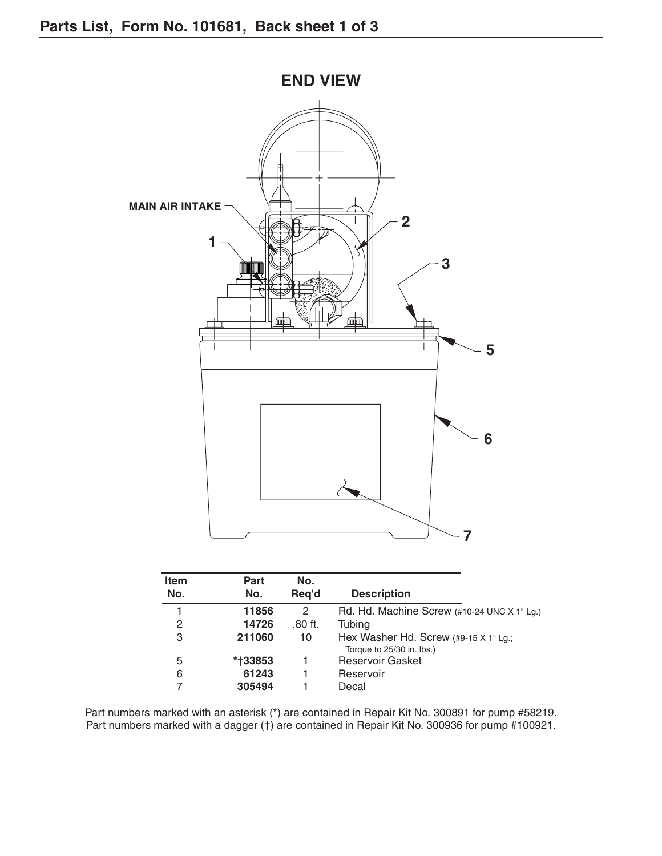

| <b>Item</b><br>No. | <b>Part</b> | No.       |                                                                           |
|--------------------|-------------|-----------|---------------------------------------------------------------------------|
|                    | No.         | Reg'd     | <b>Description</b>                                                        |
|                    | 11856       | 2         | Rd. Hd. Machine Screw $(\#10-24 \text{ UNC} \times 1^{\circ} \text{Lg.})$ |
| 2                  | 14726       | $.80$ ft. | Tubing                                                                    |
| 3                  | 211060      | 10        | Hex Washer Hd. Screw $(49-15 \times 1)$ Lg.;                              |
|                    |             |           | Torque to 25/30 in. lbs.)                                                 |
| 5                  | *†33853     |           | <b>Reservoir Gasket</b>                                                   |
| 6                  | 61243       |           | Reservoir                                                                 |
|                    | 305494      |           | Decal                                                                     |

Part numbers marked with an asterisk (\*) are contained in Repair Kit No. 300891 for pump #58219. Part numbers marked with a dagger (†) are contained in Repair Kit No. 300936 for pump #100921.

**END VIEW**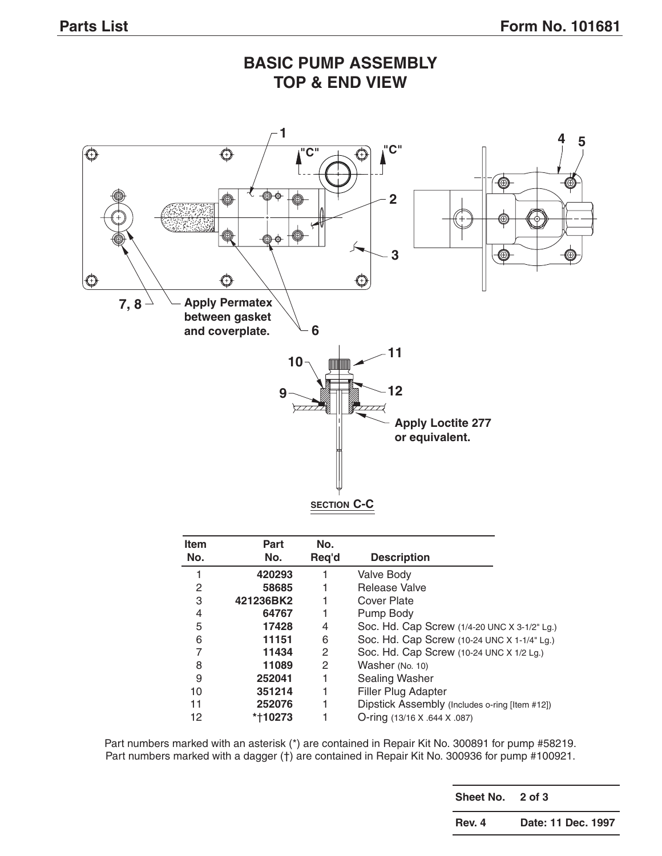## **BASIC PUMP ASSEMBLY TOP & END VIEW**



| ltem<br>No. | <b>Part</b><br>No. | No.<br>Req'd | <b>Description</b>                             |
|-------------|--------------------|--------------|------------------------------------------------|
|             | 420293             |              | <b>Valve Body</b>                              |
| 2           | 58685              |              | Release Valve                                  |
| 3           | 421236BK2          |              | Cover Plate                                    |
| 4           | 64767              |              | Pump Body                                      |
| 5           | 17428              | 4            | Soc. Hd. Cap Screw (1/4-20 UNC X 3-1/2" Lg.)   |
| 6           | 11151              | 6            | Soc. Hd. Cap Screw (10-24 UNC X 1-1/4" Lg.)    |
| 7           | 11434              | 2            | Soc. Hd. Cap Screw (10-24 UNC X 1/2 Lg.)       |
| 8           | 11089              | 2            | Washer (No. 10)                                |
| 9           | 252041             |              | Sealing Washer                                 |
| 10          | 351214             |              | <b>Filler Plug Adapter</b>                     |
| 11          | 252076             |              | Dipstick Assembly (Includes o-ring [Item #12]) |
| 12          | *†10273            |              | O-ring (13/16 X .644 X .087)                   |

Part numbers marked with an asterisk (\*) are contained in Repair Kit No. 300891 for pump #58219. Part numbers marked with a dagger (†) are contained in Repair Kit No. 300936 for pump #100921.

> **Sheet No. 2 of 3 Rev. 4 Date: 11 Dec. 1997**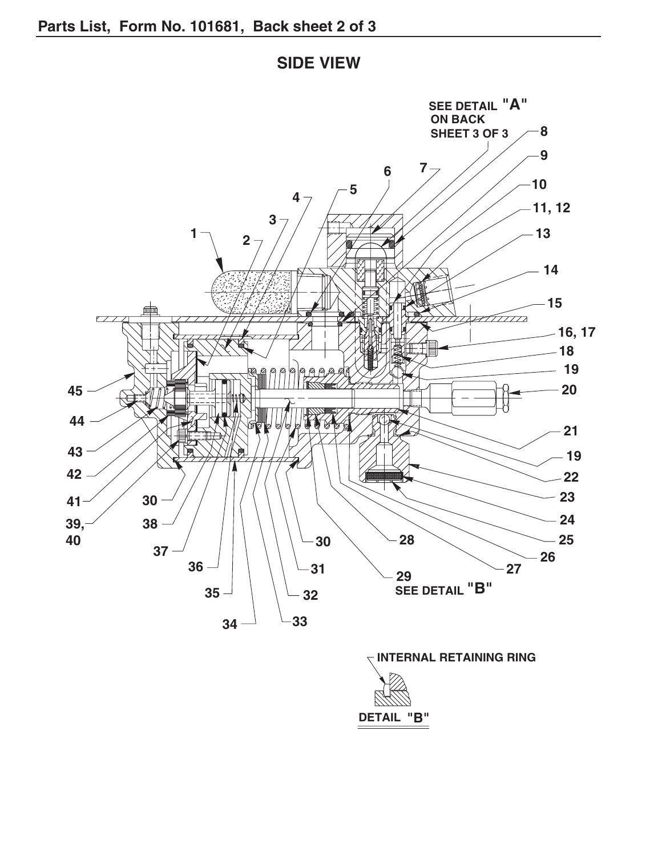



**"B" DETAIL**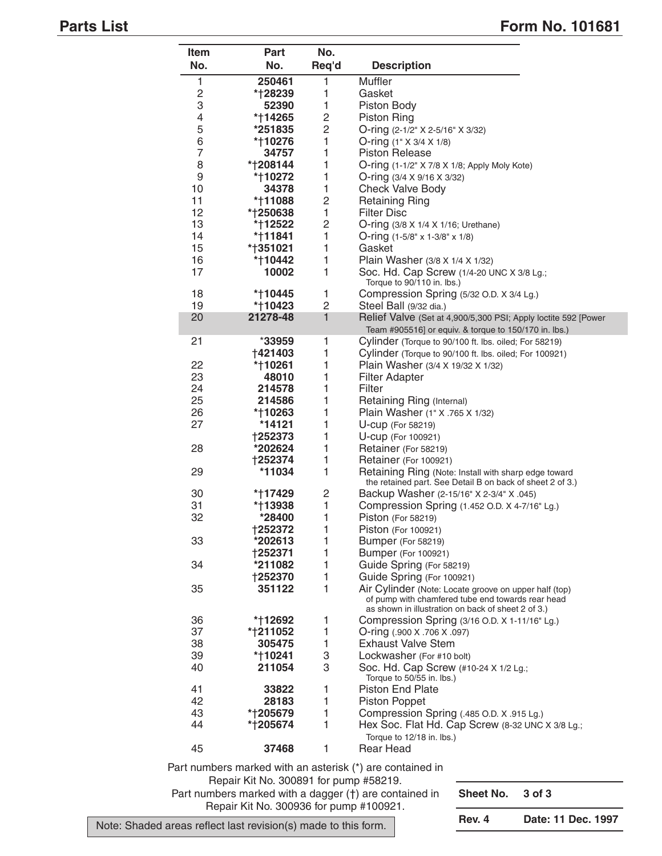## **Parts List** Form No. 101681

| Item           | <b>Part</b> | No.            |                                                                                                            |
|----------------|-------------|----------------|------------------------------------------------------------------------------------------------------------|
| No.            | No.         | Req'd          | <b>Description</b>                                                                                         |
| 1              | 250461      | 1              | Muffler                                                                                                    |
| $\overline{c}$ | *†28239     | 1              | Gasket                                                                                                     |
| 3              | 52390       | 1              | Piston Body                                                                                                |
| 4              | *†14265     | $\overline{c}$ | <b>Piston Ring</b>                                                                                         |
| 5              | *251835     | $\overline{c}$ | O-ring (2-1/2" X 2-5/16" X 3/32)                                                                           |
| 6              | *†10276     | 1              | O-ring $(1" \times 3/4 \times 1/8)$                                                                        |
| $\overline{7}$ | 34757       | 1              | <b>Piston Release</b>                                                                                      |
| 8              | *†208144    | 1              | O-ring (1-1/2" X 7/8 X 1/8; Apply Moly Kote)                                                               |
| 9              | *†10272     | 1              | O-ring $(3/4 \times 9/16 \times 3/32)$                                                                     |
| 10             | 34378       | 1              | <b>Check Valve Body</b>                                                                                    |
| 11             | *†11088     | $\overline{c}$ | <b>Retaining Ring</b>                                                                                      |
| 12             | *†250638    | 1              | <b>Filter Disc</b>                                                                                         |
| 13             | *†12522     | $\overline{c}$ | O-ring (3/8 X 1/4 X 1/16; Urethane)                                                                        |
| 14             | *†11841     | 1              | O-ring $(1-5/8" \times 1-3/8" \times 1/8)$                                                                 |
| 15             | *†351021    | 1              | Gasket                                                                                                     |
| 16             | *†10442     | 1              | Plain Washer (3/8 X 1/4 X 1/32)                                                                            |
| 17             | 10002       | 1              | Soc. Hd. Cap Screw (1/4-20 UNC X 3/8 Lg.;                                                                  |
| 18             | *†10445     | 1              | Torque to 90/110 in. lbs.)                                                                                 |
| 19             | *†10423     | $\overline{c}$ | Compression Spring (5/32 O.D. X 3/4 Lg.)<br>Steel Ball (9/32 dia.)                                         |
| 20             | 21278-48    | 1              | Relief Valve (Set at 4,900/5,300 PSI; Apply loctite 592 [Power                                             |
|                |             |                | Team #905516] or equiv. & torque to 150/170 in. lbs.)                                                      |
| 21             | $*33959$    | 1              | Cylinder (Torque to 90/100 ft. lbs. oiled; For 58219)                                                      |
|                | †421403     | 1              | Cylinder (Torque to 90/100 ft. lbs. oiled; For 100921)                                                     |
| 22             | *†10261     | 1              | Plain Washer (3/4 X 19/32 X 1/32)                                                                          |
| 23             | 48010       | 1              | <b>Filter Adapter</b>                                                                                      |
| 24             | 214578      | 1              | Filter                                                                                                     |
| 25             | 214586      | 1              | Retaining Ring (Internal)                                                                                  |
| 26             | *†10263     | 1              | Plain Washer (1" X .765 X 1/32)                                                                            |
| 27             | *14121      | 1              | U-cup (For 58219)                                                                                          |
|                | †252373     | 1              | U-cup (For 100921)                                                                                         |
| 28             | *202624     | 1              | Retainer (For 58219)                                                                                       |
|                | †252374     | 1              | Retainer (For 100921)                                                                                      |
| 29             | *11034      | 1              | Retaining Ring (Note: Install with sharp edge toward                                                       |
|                |             |                | the retained part. See Detail B on back of sheet 2 of 3.)                                                  |
| 30             | *†17429     | 2              | Backup Washer (2-15/16" X 2-3/4" X .045)                                                                   |
| 31             | *†13938     | $\mathbf{1}$   | Compression Spring (1.452 O.D. X 4-7/16" Lg.)                                                              |
| 32             | *28400      | 1              | Piston (For 58219)                                                                                         |
|                | †252372     | 1              | Piston (For 100921)                                                                                        |
| 33             | *202613     | 1              | Bumper (For 58219)                                                                                         |
|                | †252371     | 1              | <b>Bumper (For 100921)</b>                                                                                 |
| 34             | *211082     | 1              | Guide Spring (For 58219)                                                                                   |
|                | †252370     | 1              | Guide Spring (For 100921)                                                                                  |
| 35             | 351122      | 1              | Air Cylinder (Note: Locate groove on upper half (top)<br>of pump with chamfered tube end towards rear head |
|                |             |                | as shown in illustration on back of sheet 2 of 3.)                                                         |
| 36             | *†12692     | 1              | Compression Spring (3/16 O.D. X 1-11/16" Lg.)                                                              |
| 37             | *†211052    | 1              | O-ring (.900 X .706 X .097)                                                                                |
| 38             | 305475      | $\mathbf{1}$   | <b>Exhaust Valve Stem</b>                                                                                  |
| 39             | *†10241     | 3              | Lockwasher (For #10 bolt)                                                                                  |
| 40             | 211054      | 3              | Soc. Hd. Cap Screw (#10-24 X 1/2 Lg.;                                                                      |
|                |             |                | Torque to 50/55 in. lbs.)                                                                                  |
| 41             | 33822       | 1              | Piston End Plate                                                                                           |
| 42             | 28183       | 1              | <b>Piston Poppet</b>                                                                                       |
| 43             | *†205679    | 1              | Compression Spring (.485 O.D. X .915 Lg.)                                                                  |
| 44             | *†205674    | 1              | Hex Soc. Flat Hd. Cap Screw (8-32 UNC X 3/8 Lg.;                                                           |
|                |             |                | Torque to 12/18 in. lbs.)                                                                                  |
| 45             | 37468       | 1              | Rear Head                                                                                                  |
|                |             |                |                                                                                                            |

Part numbers marked with an asterisk (\*) are contained in Repair Kit No. 300891 for pump #58219. Part numbers marked with a dagger (†) are contained in Repair Kit No. 300936 for pump #100921.

**Sheet No. 3 of 3**

Note: Shaded areas reflect last revision(s) made to this form.

**Rev. 4 Date: 11 Dec. 1997**